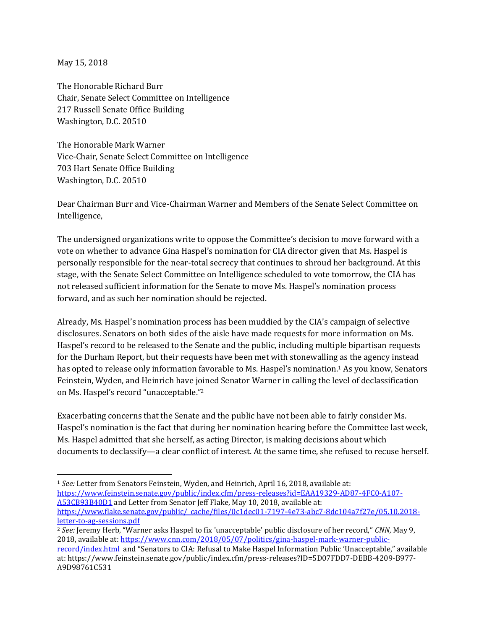May 15, 2018

 $\overline{\phantom{a}}$ 

The Honorable Richard Burr Chair, Senate Select Committee on Intelligence 217 Russell Senate Office Building Washington, D.C. 20510

The Honorable Mark Warner Vice-Chair, Senate Select Committee on Intelligence 703 Hart Senate Office Building Washington, D.C. 20510

Dear Chairman Burr and Vice-Chairman Warner and Members of the Senate Select Committee on Intelligence,

The undersigned organizations write to oppose the Committee's decision to move forward with a vote on whether to advance Gina Haspel's nomination for CIA director given that Ms. Haspel is personally responsible for the near-total secrecy that continues to shroud her background. At this stage, with the Senate Select Committee on Intelligence scheduled to vote tomorrow, the CIA has not released sufficient information for the Senate to move Ms. Haspel's nomination process forward, and as such her nomination should be rejected.

Already, Ms. Haspel's nomination process has been muddied by the CIA's campaign of selective disclosures. Senators on both sides of the aisle have made requests for more information on Ms. Haspel's record to be released to the Senate and the public, including multiple bipartisan requests for the Durham Report, but their requests have been met with stonewalling as the agency instead has opted to release only information favorable to Ms. Haspel's nomination.<sup>1</sup> As you know, Senators Feinstein, Wyden, and Heinrich have joined Senator Warner in calling the level of declassification on Ms. Haspel's record "unacceptable."<sup>2</sup>

Exacerbating concerns that the Senate and the public have not been able to fairly consider Ms. Haspel's nomination is the fact that during her nomination hearing before the Committee last week, Ms. Haspel admitted that she herself, as acting Director, is making decisions about which documents to declassify—a clear conflict of interest. At the same time, she refused to recuse herself.

<sup>1</sup> *See:* Letter from Senators Feinstein, Wyden, and Heinrich, April 16, 2018, available at: [https://www.feinstein.senate.gov/public/index.cfm/press-releases?id=EAA19329-AD87-4FC0-A107-](https://www.feinstein.senate.gov/public/index.cfm/press-releases?id=EAA19329-AD87-4FC0-A107-A53CB93B40D1) [A53CB93B40D1](https://www.feinstein.senate.gov/public/index.cfm/press-releases?id=EAA19329-AD87-4FC0-A107-A53CB93B40D1) and Letter from Senator Jeff Flake, May 10, 2018, available at: [https://www.flake.senate.gov/public/\\_cache/files/0c1dec01-7197-4e73-abc7-8dc104a7f27e/05.10.2018](https://www.flake.senate.gov/public/_cache/files/0c1dec01-7197-4e73-abc7-8dc104a7f27e/05.10.2018-letter-to-ag-sessions.pdf) [letter-to-ag-sessions.pdf](https://www.flake.senate.gov/public/_cache/files/0c1dec01-7197-4e73-abc7-8dc104a7f27e/05.10.2018-letter-to-ag-sessions.pdf)

<sup>2</sup> *See:* Jeremy Herb, "Warner asks Haspel to fix 'unacceptable' public disclosure of her record," *CNN,* May 9, 2018, available at: [https://www.cnn.com/2018/05/07/politics/gina-haspel-mark-warner-public-](https://www.cnn.com/2018/05/07/politics/gina-haspel-mark-warner-public-record/index.html)

[record/index.html](https://www.cnn.com/2018/05/07/politics/gina-haspel-mark-warner-public-record/index.html) and "Senators to CIA: Refusal to Make Haspel Information Public 'Unacceptable," available at: https://www.feinstein.senate.gov/public/index.cfm/press-releases?ID=5D07FDD7-DEBB-4209-B977- A9D98761C531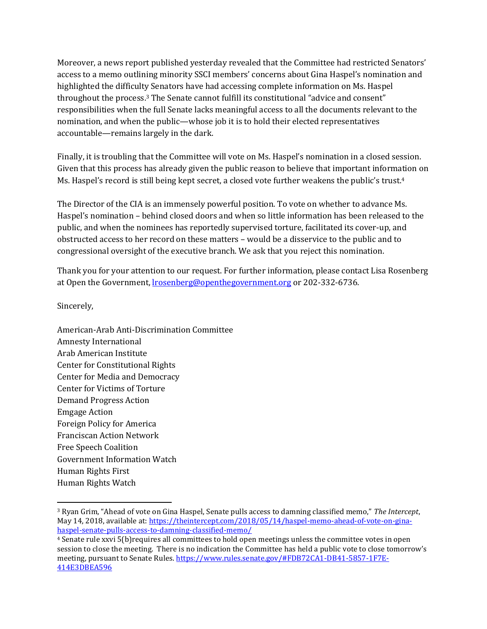Moreover, a news report published yesterday revealed that the Committee had restricted Senators' access to a memo outlining minority SSCI members' concerns about Gina Haspel's nomination and highlighted the difficulty Senators have had accessing complete information on Ms. Haspel throughout the process. <sup>3</sup> The Senate cannot fulfill its constitutional "advice and consent" responsibilities when the full Senate lacks meaningful access to all the documents relevant to the nomination, and when the public—whose job it is to hold their elected representatives accountable—remains largely in the dark.

Finally, it is troubling that the Committee will vote on Ms. Haspel's nomination in a closed session. Given that this process has already given the public reason to believe that important information on Ms. Haspel's record is still being kept secret, a closed vote further weakens the public's trust.<sup>4</sup>

The Director of the CIA is an immensely powerful position. To vote on whether to advance Ms. Haspel's nomination – behind closed doors and when so little information has been released to the public, and when the nominees has reportedly supervised torture, facilitated its cover-up, and obstructed access to her record on these matters – would be a disservice to the public and to congressional oversight of the executive branch. We ask that you reject this nomination.

Thank you for your attention to our request. For further information, please contact Lisa Rosenberg at Open the Government[, lrosenberg@openthegovernment.org](mailto:lrosenberg@openthegovernment.org) or 202-332-6736.

Sincerely,

l

American-Arab Anti-Discrimination Committee Amnesty International Arab American Institute Center for Constitutional Rights Center for Media and Democracy Center for Victims of Torture Demand Progress Action Emgage Action Foreign Policy for America Franciscan Action Network Free Speech Coalition Government Information Watch Human Rights First Human Rights Watch

<sup>3</sup> Ryan Grim, "Ahead of vote on Gina Haspel, Senate pulls access to damning classified memo," *The Intercept*, May 14, 2018, available at[: https://theintercept.com/2018/05/14/haspel-memo-ahead-of-vote-on-gina](https://theintercept.com/2018/05/14/haspel-memo-ahead-of-vote-on-gina-haspel-senate-pulls-access-to-damning-classified-memo/)[haspel-senate-pulls-access-to-damning-classified-memo/](https://theintercept.com/2018/05/14/haspel-memo-ahead-of-vote-on-gina-haspel-senate-pulls-access-to-damning-classified-memo/)

<sup>4</sup> Senate rule xxvi 5(b)requires all committees to hold open meetings unless the committee votes in open session to close the meeting. There is no indication the Committee has held a public vote to close tomorrow's meeting, pursuant to Senate Rules[. https://www.rules.senate.gov/#FDB72CA1-DB41-5857-1F7E-](https://www.rules.senate.gov/#FDB72CA1-DB41-5857-1F7E-414E3DBEA596)[414E3DBEA596](https://www.rules.senate.gov/#FDB72CA1-DB41-5857-1F7E-414E3DBEA596)